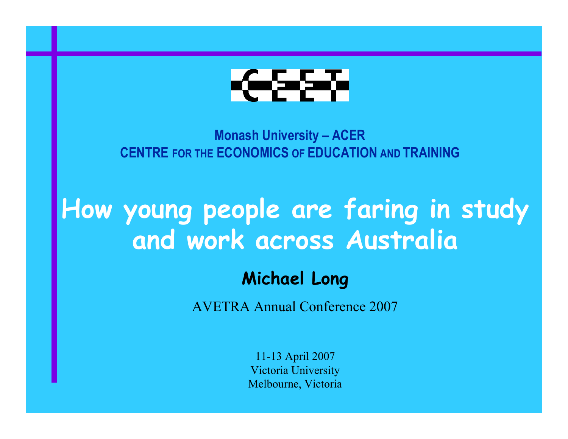

**Monash University – ACER CENTRE FOR THE ECONOMICS OF EDUCATION AND TRAINING**

# **How young people are faring in study and work across Australia**

#### **Michael Long**

AVETRA Annual Conference 2007

11-13 April 2007 Victoria University Melbourne, Victoria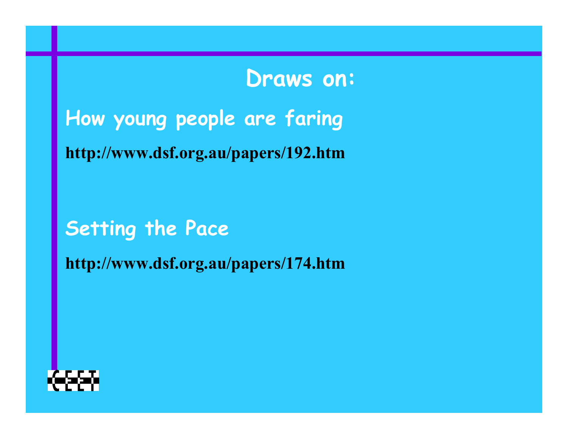### **Draws on:**

**How young people are faring**

**http://www.dsf.org.au/papers/192.htm**

**Setting the Pace**

**http://www.dsf.org.au/papers/174.htm**

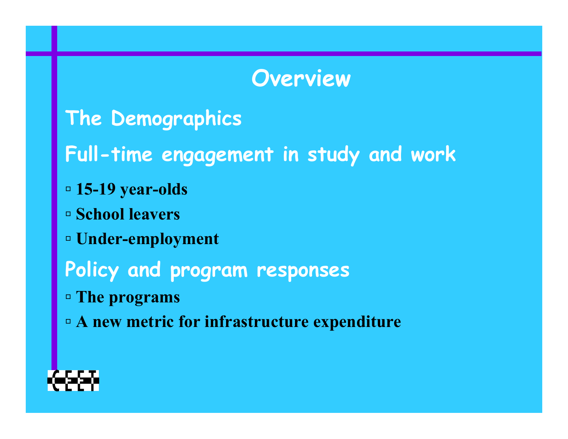### **Overview**

- **The Demographics**
- **Full-time engagement in study and work**
- **▫ 15-19 year-olds**
- **▫ School leavers**
- **▫ Under-employment**
- **Policy and program responses**
- **▫ The programs**
- **▫ A new metric for infrastructure expenditure**

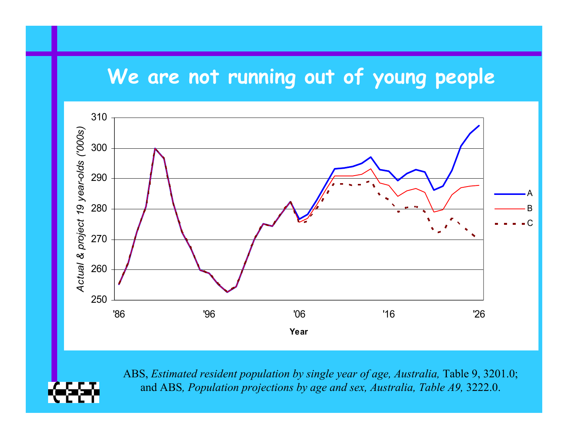#### **We are not running out of young people**



ABS, *Estimated resident population by single year of age, Australia, Table 9, 3201.0;* and ABS*, Population projections by age and sex, Australia, Table A9,* 3222.0.

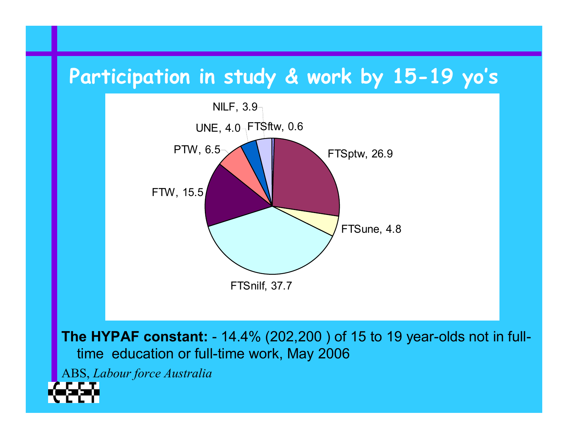#### **Participation in study & work by 15-19 yo's**



**The HYPAF constant:** - 14.4% (202,200 ) of 15 to 19 year-olds not in fulltime education or full-time work, May 2006

ABS, *Labour force Australia*

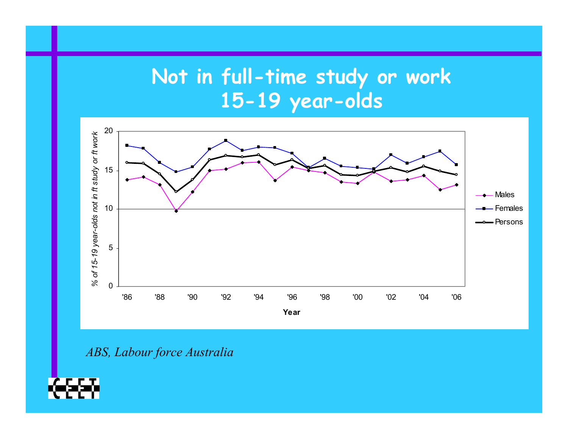### **Not in full-time study or work 15-19 year-olds**



*ABS, Labour force Australia*

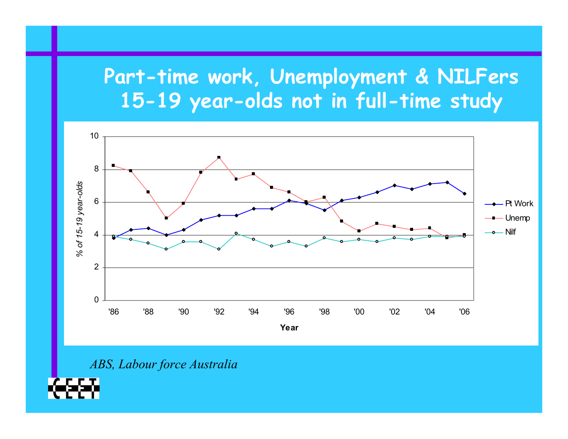#### **Part-time work, Unemployment & NILFers 15-19 year-olds not in full-time study**



*ABS, Labour force Australia*

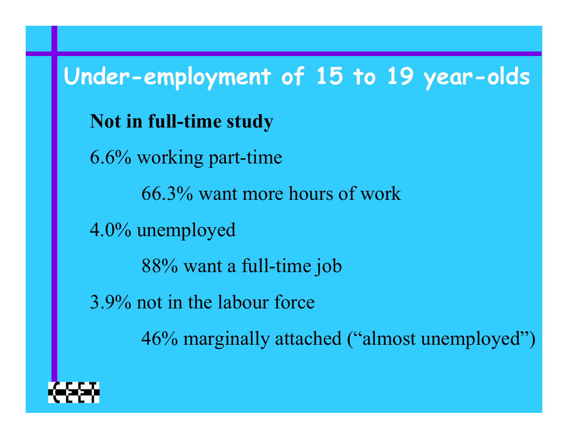**Under-employment of 15 to 19 year-olds Not in full-time study** 6.6% working part-time 66.3% want more hours of work 4.0% unemployed 88% want a full-time job 3.9% not in the labour force 46% marginally attached ("almost unemployed")

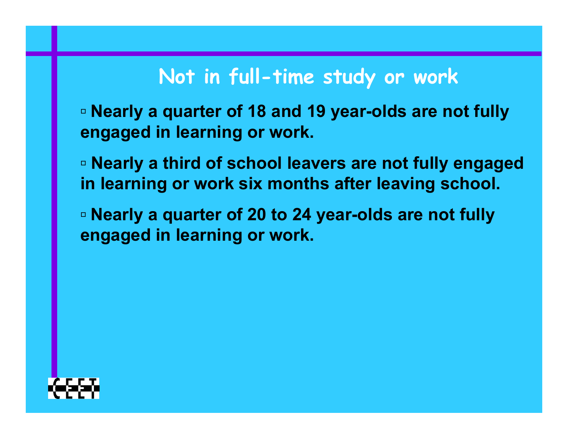#### **Not in full-time study or work**

**▫ Nearly a quarter of 18 and 19 year-olds are not fully engaged in learning or work.**

**▫ Nearly a third of school leavers are not fully engaged in learning or work six months after leaving school.**

**▫ Nearly a quarter of 20 to 24 year-olds are not fully engaged in learning or work.**

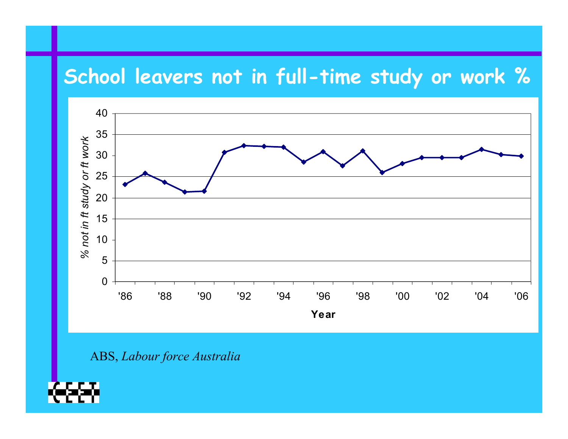#### **School leavers not in full-time study or work %**



ABS, *Labour force Australia*

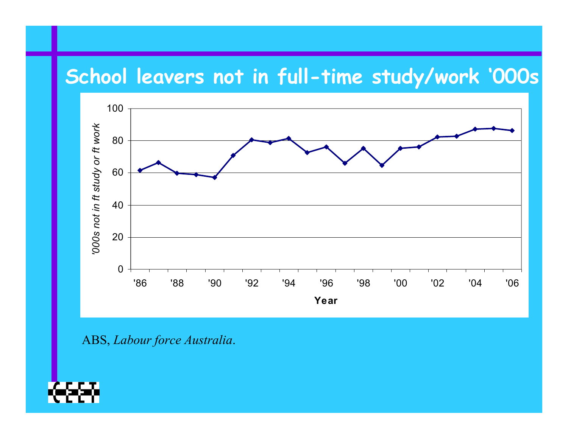#### **School leavers not in full-time study/work '000s**



ABS, *Labour force Australia*.

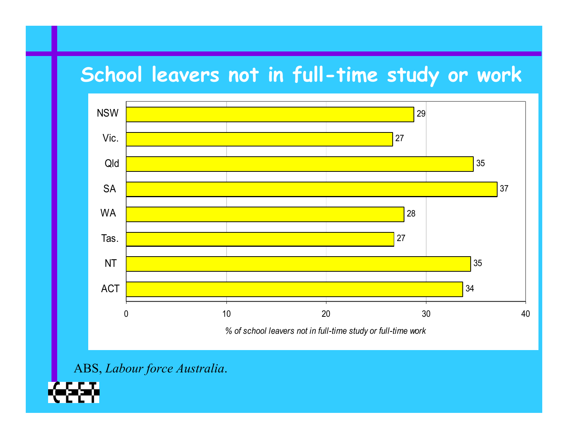#### **School leavers not in full-time study or work**



ABS, *Labour force Australia*.

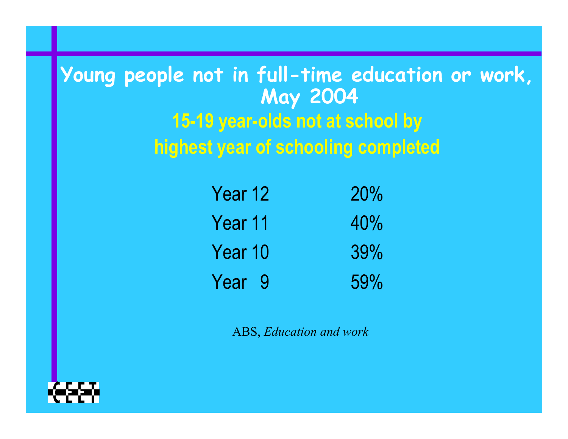### **Young people not in full-time education or work, May 2004 15-19 year-olds not at school by highest year of schooling completed**

| Year 12 | 20% |
|---------|-----|
| Year 11 | 40% |
| Year 10 | 39% |
| Year 9  | 59% |

ABS, *Education and work*

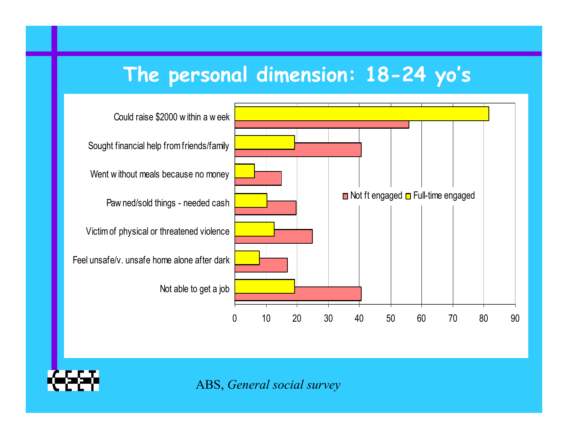#### **The personal dimension: 18-24 yo's**



ABS, *General social survey*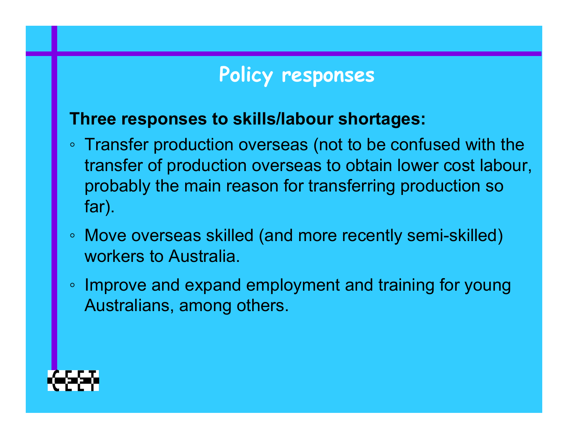#### **Policy responses**

#### **Three responses to skills/labour shortages:**

- Transfer production overseas (not to be confused with the transfer of production overseas to obtain lower cost labour, probably the main reason for transferring production so far).
- Move overseas skilled (and more recently semi-skilled) workers to Australia.
- Improve and expand employment and training for young Australians, among others.

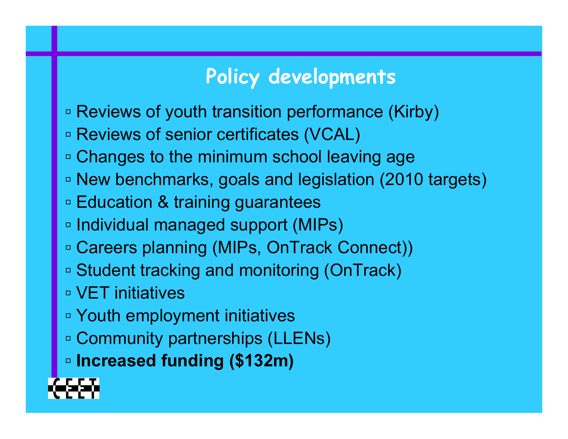#### **Policy developments**

- **▫** Reviews of youth transition performance (Kirby)
- **▫** Reviews of senior certificates (VCAL)
- **▫** Changes to the minimum school leaving age
- **▫** New benchmarks, goals and legislation (2010 targets)
- **▫** Education & training guarantees
- **▫** Individual managed support (MIPs)
- **▫** Careers planning (MIPs, OnTrack Connect))
- **▫** Student tracking and monitoring (OnTrack)
- **▫** VET initiatives
- **▫** Youth employment initiatives
- **▫** Community partnerships (LLENs)
- **▫ Increased funding (\$132m)**

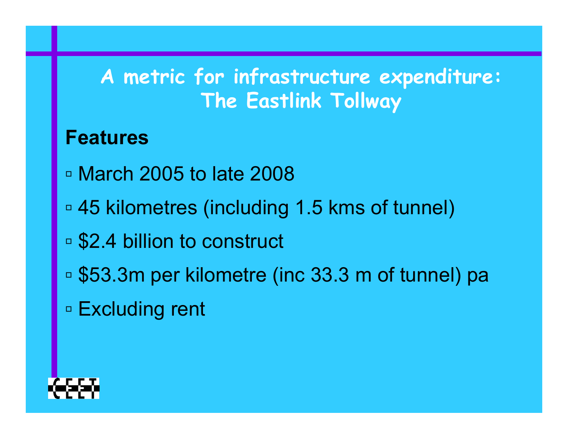#### **A metric for infrastructure expenditure: The Eastlink Tollway**

#### **Features**

- **▫** March 2005 to late 2008
- **▫** 45 kilometres (including 1.5 kms of tunnel)
- **▫**□ \$2.4 billion to construct
- **▫**□ \$53.3m per kilometre (inc 33.3 m of tunnel) pa
- **▫** Excluding rent

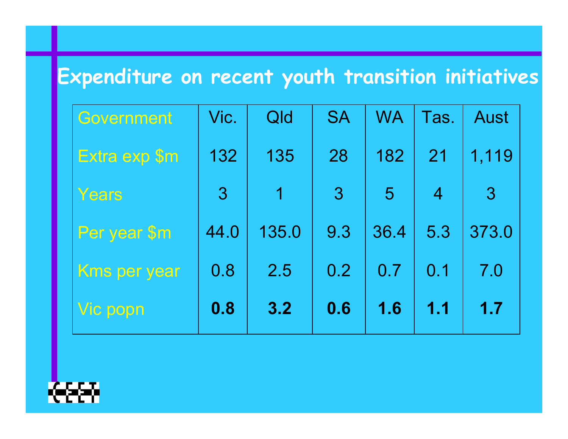# **Expenditure on recent youth transition initiatives**

| <b>Government</b>   | Vic.           | Qld   | <b>SA</b>      | <b>WA</b>      | Tas.           | <b>Aust</b>  |
|---------------------|----------------|-------|----------------|----------------|----------------|--------------|
| Extra exp \$m       | 132            | 135   | 28             | 182            | 21             | 1,119        |
| Years               | $\overline{3}$ | 4     | 3 <sup>2</sup> | 5 <sup>5</sup> | $\overline{4}$ | $\mathbf{3}$ |
| Per year \$m        | 44.0           | 135.0 | 9.3            | 36.4           | 5.3            | 373.0        |
| <b>Kms per year</b> | 0.8            | 2.5   | 0.2            | 0.7            | 0.1            | 7.0          |
| Vic popn            | 0.8            | 3.2   | 0.6            | 1.6            | 1.1            | 1.7          |